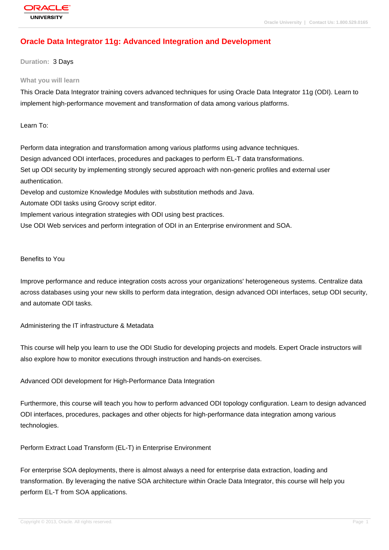# **[Oracle Data Int](http://education.oracle.com/pls/web_prod-plq-dad/db_pages.getpage?page_id=3)egrator 11g: Advanced Integration and Development**

**Duration:** 3 Days

#### **What you will learn**

This Oracle Data Integrator training covers advanced techniques for using Oracle Data Integrator 11g (ODI). Learn to implement high-performance movement and transformation of data among various platforms.

Learn To:

Perform data integration and transformation among various platforms using advance techniques. Design advanced ODI interfaces, procedures and packages to perform EL-T data transformations. Set up ODI security by implementing strongly secured approach with non-generic profiles and external user authentication.

Develop and customize Knowledge Modules with substitution methods and Java.

Automate ODI tasks using Groovy script editor.

Implement various integration strategies with ODI using best practices.

Use ODI Web services and perform integration of ODI in an Enterprise environment and SOA.

Benefits to You

Improve performance and reduce integration costs across your organizations' heterogeneous systems. Centralize data across databases using your new skills to perform data integration, design advanced ODI interfaces, setup ODI security, and automate ODI tasks.

Administering the IT infrastructure & Metadata

This course will help you learn to use the ODI Studio for developing projects and models. Expert Oracle instructors will also explore how to monitor executions through instruction and hands-on exercises.

Advanced ODI development for High-Performance Data Integration

Furthermore, this course will teach you how to perform advanced ODI topology configuration. Learn to design advanced ODI interfaces, procedures, packages and other objects for high-performance data integration among various technologies.

Perform Extract Load Transform (EL-T) in Enterprise Environment

For enterprise SOA deployments, there is almost always a need for enterprise data extraction, loading and transformation. By leveraging the native SOA architecture within Oracle Data Integrator, this course will help you perform EL-T from SOA applications.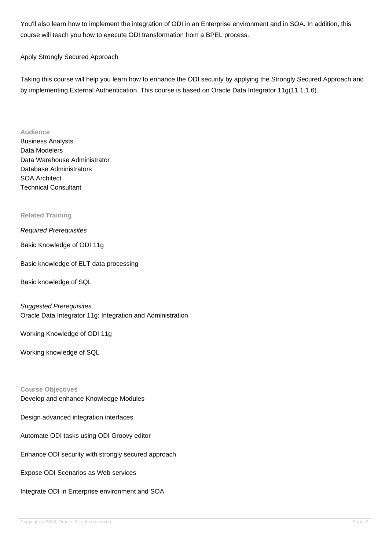You'll also learn how to implement the integration of ODI in an Enterprise environment and in SOA. In addition, this course will teach you how to execute ODI transformation from a BPEL process.

### Apply Strongly Secured Approach

Taking this course will help you learn how to enhance the ODI security by applying the Strongly Secured Approach and by implementing External Authentication. This course is based on Oracle Data Integrator 11g(11.1.1.6).

#### **Audience**

Business Analysts Data Modelers Data Warehouse Administrator Database Administrators SOA Architect Technical Consultant

#### **Related Training**

#### Required Prerequisites

Basic Knowledge of ODI 11g

Basic knowledge of ELT data processing

Basic knowledge of SQL

#### Suggested Prerequisites

Oracle Data Integrator 11g: Integration and Administration

Working Knowledge of ODI 11g

Working knowledge of SQL

### **Course Objectives**

Develop and enhance Knowledge Modules

Design advanced integration interfaces

Automate ODI tasks using ODI Groovy editor

Enhance ODI security with strongly secured approach

Expose ODI Scenarios as Web services

Integrate ODI in Enterprise environment and SOA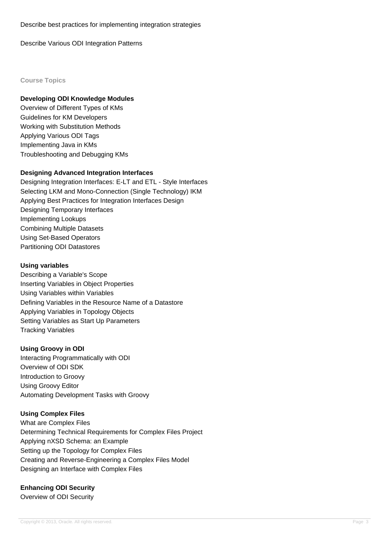Describe Various ODI Integration Patterns

#### **Course Topics**

### **Developing ODI Knowledge Modules**

Overview of Different Types of KMs Guidelines for KM Developers Working with Substitution Methods Applying Various ODI Tags Implementing Java in KMs Troubleshooting and Debugging KMs

### **Designing Advanced Integration Interfaces**

Designing Integration Interfaces: E-LT and ETL - Style Interfaces Selecting LKM and Mono-Connection (Single Technology) IKM Applying Best Practices for Integration Interfaces Design Designing Temporary Interfaces Implementing Lookups Combining Multiple Datasets Using Set-Based Operators Partitioning ODI Datastores

### **Using variables**

Describing a Variable's Scope Inserting Variables in Object Properties Using Variables within Variables Defining Variables in the Resource Name of a Datastore Applying Variables in Topology Objects Setting Variables as Start Up Parameters Tracking Variables

### **Using Groovy in ODI**

Interacting Programmatically with ODI Overview of ODI SDK Introduction to Groovy Using Groovy Editor Automating Development Tasks with Groovy

### **Using Complex Files**

What are Complex Files Determining Technical Requirements for Complex Files Project Applying nXSD Schema: an Example Setting up the Topology for Complex Files Creating and Reverse-Engineering a Complex Files Model Designing an Interface with Complex Files

## **Enhancing ODI Security**

Overview of ODI Security